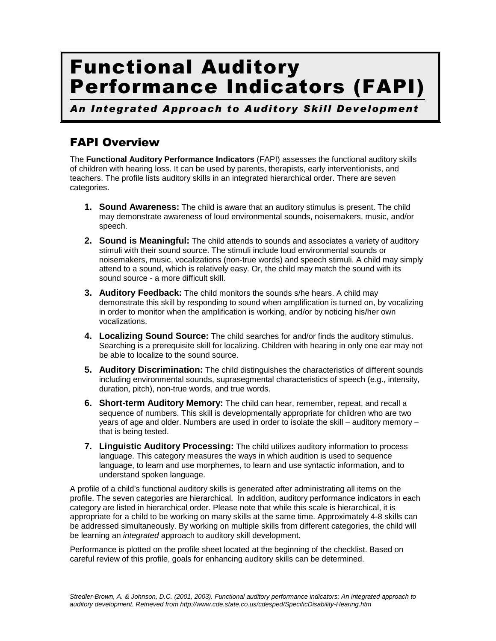# Functional Auditory Performance Indicators (FAPI)

*An Integrated Approach to Auditory Skill Development* 

#### FAPI Overview

The **Functional Auditory Performance Indicators** (FAPI) assesses the functional auditory skills of children with hearing loss. It can be used by parents, therapists, early interventionists, and teachers. The profile lists auditory skills in an integrated hierarchical order. There are seven categories.

- **1. Sound Awareness:** The child is aware that an auditory stimulus is present. The child may demonstrate awareness of loud environmental sounds, noisemakers, music, and/or speech.
- **2. Sound is Meaningful:** The child attends to sounds and associates a variety of auditory stimuli with their sound source. The stimuli include loud environmental sounds or noisemakers, music, vocalizations (non-true words) and speech stimuli. A child may simply attend to a sound, which is relatively easy. Or, the child may match the sound with its sound source - a more difficult skill.
- **3. Auditory Feedback:** The child monitors the sounds s/he hears. A child may demonstrate this skill by responding to sound when amplification is turned on, by vocalizing in order to monitor when the amplification is working, and/or by noticing his/her own vocalizations.
- **4. Localizing Sound Source:** The child searches for and/or finds the auditory stimulus. Searching is a prerequisite skill for localizing. Children with hearing in only one ear may not be able to localize to the sound source.
- **5. Auditory Discrimination:** The child distinguishes the characteristics of different sounds including environmental sounds, suprasegmental characteristics of speech (e.g., intensity, duration, pitch), non-true words, and true words.
- **6. Short-term Auditory Memory:** The child can hear, remember, repeat, and recall a sequence of numbers. This skill is developmentally appropriate for children who are two years of age and older. Numbers are used in order to isolate the skill – auditory memory – that is being tested.
- **7. Linguistic Auditory Processing:** The child utilizes auditory information to process language. This category measures the ways in which audition is used to sequence language, to learn and use morphemes, to learn and use syntactic information, and to understand spoken language.

A profile of a child's functional auditory skills is generated after administrating all items on the profile. The seven categories are hierarchical. In addition, auditory performance indicators in each category are listed in hierarchical order. Please note that while this scale is hierarchical, it is appropriate for a child to be working on many skills at the same time. Approximately 4-8 skills can be addressed simultaneously. By working on multiple skills from different categories, the child will be learning an *integrated* approach to auditory skill development.

Performance is plotted on the profile sheet located at the beginning of the checklist. Based on careful review of this profile, goals for enhancing auditory skills can be determined.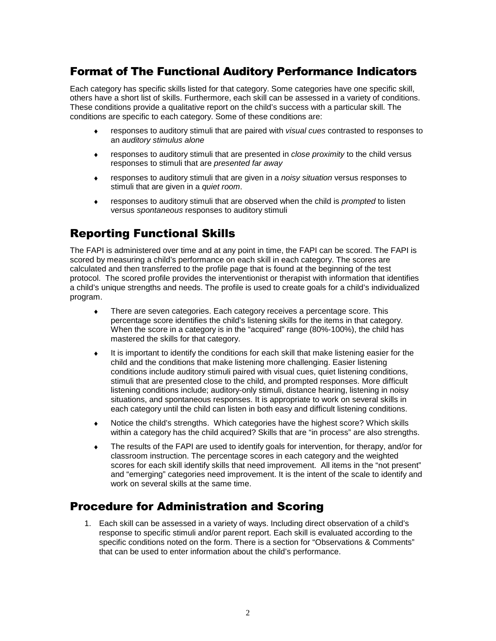#### Format of The Functional Auditory Performance Indicators

Each category has specific skills listed for that category. Some categories have one specific skill, others have a short list of skills. Furthermore, each skill can be assessed in a variety of conditions. These conditions provide a qualitative report on the child's success with a particular skill. The conditions are specific to each category. Some of these conditions are:

- responses to auditory stimuli that are paired with *visual cues* contrasted to responses to an *auditory stimulus alone*
- responses to auditory stimuli that are presented in *close proximity* to the child versus responses to stimuli that are *presented far away*
- ♦ responses to auditory stimuli that are given in a *noisy situation* versus responses to stimuli that are given in a *quiet room*.
- responses to auditory stimuli that are observed when the child is *prompted* to listen versus *spontaneous* responses to auditory stimuli

#### Reporting Functional Skills

The FAPI is administered over time and at any point in time, the FAPI can be scored. The FAPI is scored by measuring a child's performance on each skill in each category. The scores are calculated and then transferred to the profile page that is found at the beginning of the test protocol. The scored profile provides the interventionist or therapist with information that identifies a child's unique strengths and needs. The profile is used to create goals for a child's individualized program.

- ♦ There are seven categories. Each category receives a percentage score. This percentage score identifies the child's listening skills for the items in that category. When the score in a category is in the "acquired" range (80%-100%), the child has mastered the skills for that category.
- ♦ It is important to identify the conditions for each skill that make listening easier for the child and the conditions that make listening more challenging. Easier listening conditions include auditory stimuli paired with visual cues, quiet listening conditions, stimuli that are presented close to the child, and prompted responses. More difficult listening conditions include; auditory-only stimuli, distance hearing, listening in noisy situations, and spontaneous responses. It is appropriate to work on several skills in each category until the child can listen in both easy and difficult listening conditions.
- ♦ Notice the child's strengths. Which categories have the highest score? Which skills within a category has the child acquired? Skills that are "in process" are also strengths.
- $\bullet$  The results of the FAPI are used to identify goals for intervention, for therapy, and/or for classroom instruction. The percentage scores in each category and the weighted scores for each skill identify skills that need improvement. All items in the "not present" and "emerging" categories need improvement. It is the intent of the scale to identify and work on several skills at the same time.

#### Procedure for Administration and Scoring

1. Each skill can be assessed in a variety of ways. Including direct observation of a child's response to specific stimuli and/or parent report. Each skill is evaluated according to the specific conditions noted on the form. There is a section for "Observations & Comments" that can be used to enter information about the child's performance.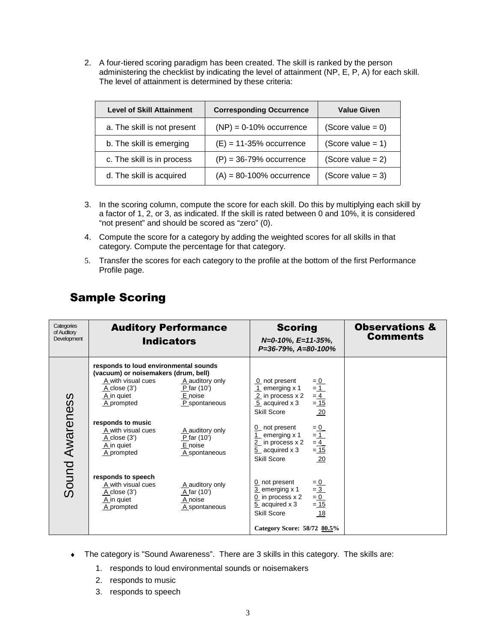2. A four-tiered scoring paradigm has been created. The skill is ranked by the person administering the checklist by indicating the level of attainment (NP, E, P, A) for each skill. The level of attainment is determined by these criteria:

| <b>Level of Skill Attainment</b> | <b>Corresponding Occurrence</b> | <b>Value Given</b>   |
|----------------------------------|---------------------------------|----------------------|
| a. The skill is not present      | $(NP) = 0-10\%$ occurrence      | (Score value = $0$ ) |
| b. The skill is emerging         | $(E) = 11-35%$ occurrence       | (Score value = $1$ ) |
| c. The skill is in process       | $(P) = 36-79%$ occurrence       | (Score value = $2$ ) |
| d. The skill is acquired         | $(A) = 80-100\%$ occurrence     | (Score value = $3$ ) |

- 3. In the scoring column, compute the score for each skill. Do this by multiplying each skill by a factor of 1, 2, or 3, as indicated. If the skill is rated between 0 and 10%, it is considered "not present" and should be scored as "zero" (0).
- 4. Compute the score for a category by adding the weighted scores for all skills in that category. Compute the percentage for that category.
- 5. Transfer the scores for each category to the profile at the bottom of the first Performance Profile page.

| Categories<br>of Auditory<br>Development | <b>Auditory Performance</b><br><b>Indicators</b>                                                                                                                                                                  | <b>Scoring</b><br>$N=0-10\%$ , E=11-35%,<br>P=36-79%, A=80-100%                                                                                                                     | <b>Observations &amp;</b><br><b>Comments</b> |
|------------------------------------------|-------------------------------------------------------------------------------------------------------------------------------------------------------------------------------------------------------------------|-------------------------------------------------------------------------------------------------------------------------------------------------------------------------------------|----------------------------------------------|
|                                          | responds to loud environmental sounds<br>(vacuum) or noisemakers (drum, bell)<br>A with visual cues<br>A auditory only<br>P far (10')<br>$A$ close $(3')$<br>E noise<br>A in quiet<br>A prompted<br>P spontaneous | 0 not present<br>$= 0$<br>= $\frac{1}{4}$<br>= $\frac{4}{15}$<br>1 emerging x 1<br>2 in process x 2<br>5 acquired x 3<br>20<br>Skill Score                                          |                                              |
| Sound Awareness                          | responds to music<br>A auditory only<br>A with visual cues<br>P far (10')<br>A close (3')<br>A in quiet<br>E noise<br>A prompted<br>A spontaneous                                                                 | 0 not present<br>$= 0$<br>= $\frac{1}{4}$<br>= $\frac{4}{15}$<br>emerging x 1<br>2 in process x 2<br>5_ acquired x 3<br>20<br><b>Skill Score</b>                                    |                                              |
|                                          | responds to speech<br>A with visual cues<br>A auditory only<br>A far (10')<br>A close (3')<br>A in quiet<br>A noise<br>A prompted<br>A spontaneous                                                                | 0 not present<br>$= 0$<br>= $\frac{3}{-0}$<br>= $\frac{0}{15}$<br>3 emerging x 1<br>0 in process $x$ 2<br>5 acquired x 3<br>18<br><b>Skill Score</b><br>Category Score: 58/72 80.5% |                                              |

#### Sample Scoring

- The category is "Sound Awareness". There are 3 skills in this category. The skills are:
	- 1. responds to loud environmental sounds or noisemakers
	- 2. responds to music
	- 3. responds to speech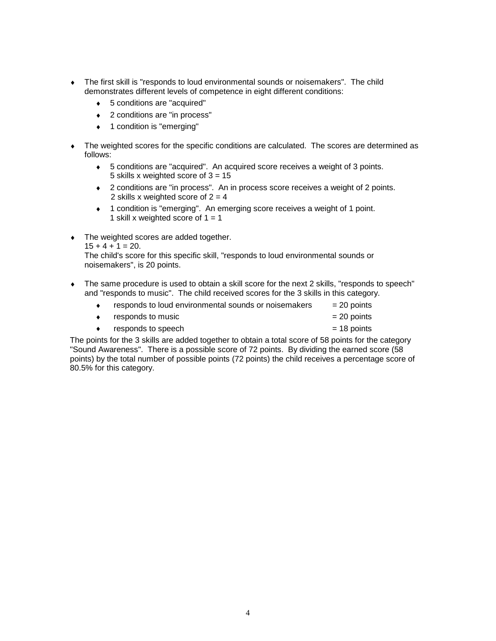- ♦ The first skill is "responds to loud environmental sounds or noisemakers". The child demonstrates different levels of competence in eight different conditions:
	- ♦ 5 conditions are "acquired"
	- ♦ 2 conditions are "in process"
	- ♦ 1 condition is "emerging"
- The weighted scores for the specific conditions are calculated. The scores are determined as follows:
	- $\bullet$  5 conditions are "acquired". An acquired score receives a weight of 3 points. 5 skills x weighted score of 3 = 15
	- ♦ 2 conditions are "in process". An in process score receives a weight of 2 points. 2 skills x weighted score of  $2 = 4$
	- ♦ 1 condition is "emerging". An emerging score receives a weight of 1 point. 1 skill x weighted score of  $1 = 1$
- ♦ The weighted scores are added together.  $15 + 4 + 1 = 20$ . The child's score for this specific skill, "responds to loud environmental sounds or noisemakers", is 20 points.
- The same procedure is used to obtain a skill score for the next 2 skills, "responds to speech" and "responds to music". The child received scores for the 3 skills in this category.
	- $\bullet$  responds to loud environmental sounds or noisemakers  $= 20$  points
	- $\bullet$  responds to music  $= 20$  points
	- $r$ esponds to speech  $= 18$  points
- 

The points for the 3 skills are added together to obtain a total score of 58 points for the category "Sound Awareness". There is a possible score of 72 points. By dividing the earned score (58 points) by the total number of possible points (72 points) the child receives a percentage score of 80.5% for this category.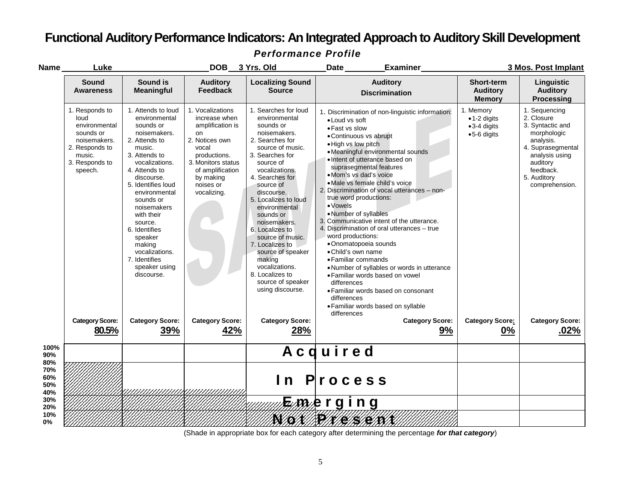## **Functional Auditory Performance Indicators: An Integrated Approach to Auditory Skill Development**

| Name                     | Luke                                                                                                                          |                                                                                                                                                                                                                                                                                                                                                                   | DOB 3 Yrs. Old                                                                                                                                                                            |                                                                                                                                                                                                                                                                                                                                                                                                                                                        | Examiner<br><b>Date</b>                                                                                                                                                                                                                                                                                                                                                                                                                                                                                                                                                                                                                                                                                                                                                                                             |                                                        | 3 Mos. Post Implant                                                                                                                                                          |
|--------------------------|-------------------------------------------------------------------------------------------------------------------------------|-------------------------------------------------------------------------------------------------------------------------------------------------------------------------------------------------------------------------------------------------------------------------------------------------------------------------------------------------------------------|-------------------------------------------------------------------------------------------------------------------------------------------------------------------------------------------|--------------------------------------------------------------------------------------------------------------------------------------------------------------------------------------------------------------------------------------------------------------------------------------------------------------------------------------------------------------------------------------------------------------------------------------------------------|---------------------------------------------------------------------------------------------------------------------------------------------------------------------------------------------------------------------------------------------------------------------------------------------------------------------------------------------------------------------------------------------------------------------------------------------------------------------------------------------------------------------------------------------------------------------------------------------------------------------------------------------------------------------------------------------------------------------------------------------------------------------------------------------------------------------|--------------------------------------------------------|------------------------------------------------------------------------------------------------------------------------------------------------------------------------------|
|                          | Sound<br><b>Awareness</b>                                                                                                     | Sound is<br><b>Meaningful</b>                                                                                                                                                                                                                                                                                                                                     | <b>Auditory</b><br>Feedback                                                                                                                                                               | <b>Localizing Sound</b><br><b>Source</b>                                                                                                                                                                                                                                                                                                                                                                                                               | <b>Auditory</b><br><b>Discrimination</b>                                                                                                                                                                                                                                                                                                                                                                                                                                                                                                                                                                                                                                                                                                                                                                            | Short-term<br><b>Auditory</b><br><b>Memory</b>         | Linguistic<br><b>Auditory</b><br>Processing                                                                                                                                  |
|                          | 1. Responds to<br>loud<br>environmental<br>sounds or<br>noisemakers.<br>2. Responds to<br>music.<br>3. Responds to<br>speech. | 1. Attends to loud<br>environmental<br>sounds or<br>noisemakers.<br>2. Attends to<br>music.<br>3. Attends to<br>vocalizations.<br>4. Attends to<br>discourse.<br>5. Identifies loud<br>environmental<br>sounds or<br>noisemakers<br>with their<br>source.<br>6. Identifies<br>speaker<br>making<br>vocalizations.<br>7. Identifies<br>speaker using<br>discourse. | 1. Vocalizations<br>increase when<br>amplification is<br>on<br>2. Notices own<br>vocal<br>productions.<br>3. Monitors status<br>of amplification<br>by making<br>noises or<br>vocalizing. | 1. Searches for loud<br>environmental<br>sounds or<br>noisemakers.<br>2. Searches for<br>source of music.<br>3. Searches for<br>source of<br>vocalizations.<br>4. Searches for<br>source of<br>discourse.<br>5. Localizes to loud<br>environmental<br>sounds or<br>noisemakers.<br>6. Localizes to<br>source of music.<br>7. Localizes to<br>source of speaker<br>making<br>vocalizations.<br>8. Localizes to<br>source of speaker<br>using discourse. | 1. Discrimination of non-linguistic information:<br>• Loud vs soft<br>• Fast vs slow<br>• Continuous vs abrupt<br>·High vs low pitch<br>• Meaningful environmental sounds<br>• Intent of utterance based on<br>suprasegmental features<br>• Mom's vs dad's voice<br>• Male vs female child's voice<br>2. Discrimination of vocal utterances - non-<br>true word productions:<br>• Vowels<br>• Number of syllables<br>3. Communicative intent of the utterance.<br>4. Discrimination of oral utterances – true<br>word productions:<br>·Onomatopoeia sounds<br>• Child's own name<br>• Familiar commands<br>. Number of syllables or words in utterance<br>• Familiar words based on vowel<br>differences<br>• Familiar words based on consonant<br>differences<br>· Familiar words based on syllable<br>differences | 1. Memory<br>•1-2 digits<br>•3-4 digits<br>•5-6 digits | 1. Sequencing<br>2. Closure<br>3. Syntactic and<br>morphologic<br>analysis.<br>4. Suprasegmental<br>analysis using<br>auditory<br>feedback.<br>5. Auditory<br>comprehension. |
|                          | <b>Category Score:</b><br>80.5%                                                                                               | <b>Category Score:</b><br>39%                                                                                                                                                                                                                                                                                                                                     | <b>Category Score:</b><br>42%                                                                                                                                                             | <b>Category Score:</b><br>28%                                                                                                                                                                                                                                                                                                                                                                                                                          | <b>Category Score:</b><br>9%                                                                                                                                                                                                                                                                                                                                                                                                                                                                                                                                                                                                                                                                                                                                                                                        | <b>Category Score:</b><br>0%                           | <b>Category Score:</b><br>.02%                                                                                                                                               |
| 100%<br>90%<br>80%       |                                                                                                                               |                                                                                                                                                                                                                                                                                                                                                                   |                                                                                                                                                                                           |                                                                                                                                                                                                                                                                                                                                                                                                                                                        | Acduired                                                                                                                                                                                                                                                                                                                                                                                                                                                                                                                                                                                                                                                                                                                                                                                                            |                                                        |                                                                                                                                                                              |
| 70%<br>60%<br>50%<br>40% |                                                                                                                               |                                                                                                                                                                                                                                                                                                                                                                   |                                                                                                                                                                                           | $\ln$                                                                                                                                                                                                                                                                                                                                                                                                                                                  | Process                                                                                                                                                                                                                                                                                                                                                                                                                                                                                                                                                                                                                                                                                                                                                                                                             |                                                        |                                                                                                                                                                              |
| 30%<br>20%               |                                                                                                                               |                                                                                                                                                                                                                                                                                                                                                                   |                                                                                                                                                                                           |                                                                                                                                                                                                                                                                                                                                                                                                                                                        | <i>氣m</i> ∧e r g in g                                                                                                                                                                                                                                                                                                                                                                                                                                                                                                                                                                                                                                                                                                                                                                                               |                                                        |                                                                                                                                                                              |
| 10%<br>0%                |                                                                                                                               |                                                                                                                                                                                                                                                                                                                                                                   |                                                                                                                                                                                           |                                                                                                                                                                                                                                                                                                                                                                                                                                                        | NS MITHER SPAN                                                                                                                                                                                                                                                                                                                                                                                                                                                                                                                                                                                                                                                                                                                                                                                                      |                                                        |                                                                                                                                                                              |

*Performance Profile* 

(Shade in appropriate box for each category after determining the percentage *for that category*)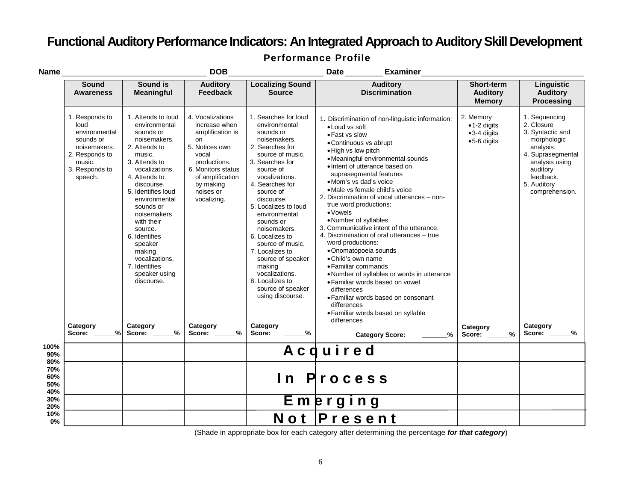### **Functional Auditory Performance Indicators: An Integrated Approach to Auditory Skill Development**

| Name              |                                                                                                                               |                                                                                                                                                                                                                                                                                                                                                                   | <b>DOB</b>                                                                                                                                                                                |                                                                                                                                                                                                                                                                                                                                                                                                                                                        | Date Examiner                                                                                                                                                                                                                                                                                                                                                                                                                                                                                                                                                                                                                                                                                                                                                                                         |                                                          |                                                                                                                                                                              |
|-------------------|-------------------------------------------------------------------------------------------------------------------------------|-------------------------------------------------------------------------------------------------------------------------------------------------------------------------------------------------------------------------------------------------------------------------------------------------------------------------------------------------------------------|-------------------------------------------------------------------------------------------------------------------------------------------------------------------------------------------|--------------------------------------------------------------------------------------------------------------------------------------------------------------------------------------------------------------------------------------------------------------------------------------------------------------------------------------------------------------------------------------------------------------------------------------------------------|-------------------------------------------------------------------------------------------------------------------------------------------------------------------------------------------------------------------------------------------------------------------------------------------------------------------------------------------------------------------------------------------------------------------------------------------------------------------------------------------------------------------------------------------------------------------------------------------------------------------------------------------------------------------------------------------------------------------------------------------------------------------------------------------------------|----------------------------------------------------------|------------------------------------------------------------------------------------------------------------------------------------------------------------------------------|
|                   | Sound<br><b>Awareness</b>                                                                                                     | Sound is<br><b>Meaningful</b>                                                                                                                                                                                                                                                                                                                                     | <b>Auditory</b><br><b>Feedback</b>                                                                                                                                                        | <b>Localizing Sound</b><br><b>Source</b>                                                                                                                                                                                                                                                                                                                                                                                                               | <b>Auditory</b><br><b>Discrimination</b>                                                                                                                                                                                                                                                                                                                                                                                                                                                                                                                                                                                                                                                                                                                                                              | Short-term<br><b>Auditory</b><br><b>Memory</b>           | <b>Linguistic</b><br><b>Auditory</b><br><b>Processing</b>                                                                                                                    |
|                   | 1. Responds to<br>loud<br>environmental<br>sounds or<br>noisemakers.<br>2. Responds to<br>music.<br>3. Responds to<br>speech. | 1. Attends to loud<br>environmental<br>sounds or<br>noisemakers.<br>2. Attends to<br>music.<br>3. Attends to<br>vocalizations.<br>4. Attends to<br>discourse.<br>5. Identifies loud<br>environmental<br>sounds or<br>noisemakers<br>with their<br>source.<br>6. Identifies<br>speaker<br>making<br>vocalizations.<br>7. Identifies<br>speaker using<br>discourse. | 4. Vocalizations<br>increase when<br>amplification is<br>on<br>5. Notices own<br>vocal<br>productions.<br>6. Monitors status<br>of amplification<br>by making<br>noises or<br>vocalizing. | 1. Searches for loud<br>environmental<br>sounds or<br>noisemakers.<br>2. Searches for<br>source of music.<br>3. Searches for<br>source of<br>vocalizations.<br>4. Searches for<br>source of<br>discourse.<br>5. Localizes to loud<br>environmental<br>sounds or<br>noisemakers.<br>6. Localizes to<br>source of music.<br>7. Localizes to<br>source of speaker<br>making<br>vocalizations.<br>8. Localizes to<br>source of speaker<br>using discourse. | 1. Discrimination of non-linguistic information:<br>• Loud vs soft<br>• Fast vs slow<br>• Continuous vs abrupt<br>• High vs low pitch<br>• Meaningful environmental sounds<br>• Intent of utterance based on<br>suprasegmental features<br>• Mom's vs dad's voice<br>• Male vs female child's voice<br>2. Discrimination of vocal utterances – non-<br>true word productions:<br>• Vowels<br>• Number of syllables<br>3. Communicative intent of the utterance.<br>4. Discrimination of oral utterances – true<br>word productions:<br>•Onomatopoeia sounds<br>• Child's own name<br>• Familiar commands<br>. Number of syllables or words in utterance<br>• Familiar words based on yowel<br>differences<br>• Familiar words based on consonant<br>differences<br>· Familiar words based on syllable | 2. Memory<br>•1-2 digits<br>$•3-4$ digits<br>●5-6 digits | 1. Sequencing<br>2. Closure<br>3. Syntactic and<br>morphologic<br>analysis.<br>4. Suprasegmental<br>analysis using<br>auditory<br>feedback.<br>5. Auditory<br>comprehension. |
| 100%              | Category<br>Score:                                                                                                            | Category<br>% Score: ___<br>$\%$                                                                                                                                                                                                                                                                                                                                  | Category<br>$\%$<br>Score:                                                                                                                                                                | Category<br>Score:<br>%                                                                                                                                                                                                                                                                                                                                                                                                                                | differences<br>$\frac{9}{6}$<br><b>Category Score:</b>                                                                                                                                                                                                                                                                                                                                                                                                                                                                                                                                                                                                                                                                                                                                                | Category<br>%<br>Score:                                  | Category<br>Score: $\_\_\_\_\%$                                                                                                                                              |
| 90%<br>80%<br>70% |                                                                                                                               |                                                                                                                                                                                                                                                                                                                                                                   |                                                                                                                                                                                           |                                                                                                                                                                                                                                                                                                                                                                                                                                                        | Acquired                                                                                                                                                                                                                                                                                                                                                                                                                                                                                                                                                                                                                                                                                                                                                                                              |                                                          |                                                                                                                                                                              |
| 60%<br>50%<br>40% |                                                                                                                               |                                                                                                                                                                                                                                                                                                                                                                   |                                                                                                                                                                                           |                                                                                                                                                                                                                                                                                                                                                                                                                                                        | In Process                                                                                                                                                                                                                                                                                                                                                                                                                                                                                                                                                                                                                                                                                                                                                                                            |                                                          |                                                                                                                                                                              |
| 30%<br>20%        |                                                                                                                               |                                                                                                                                                                                                                                                                                                                                                                   |                                                                                                                                                                                           |                                                                                                                                                                                                                                                                                                                                                                                                                                                        | Emerging                                                                                                                                                                                                                                                                                                                                                                                                                                                                                                                                                                                                                                                                                                                                                                                              |                                                          |                                                                                                                                                                              |
| 10%<br>0%         |                                                                                                                               |                                                                                                                                                                                                                                                                                                                                                                   |                                                                                                                                                                                           | N o t                                                                                                                                                                                                                                                                                                                                                                                                                                                  | $ P$ resent                                                                                                                                                                                                                                                                                                                                                                                                                                                                                                                                                                                                                                                                                                                                                                                           |                                                          |                                                                                                                                                                              |

**Performance Profile** 

(Shade in appropriate box for each category after determining the percentage *for that category*)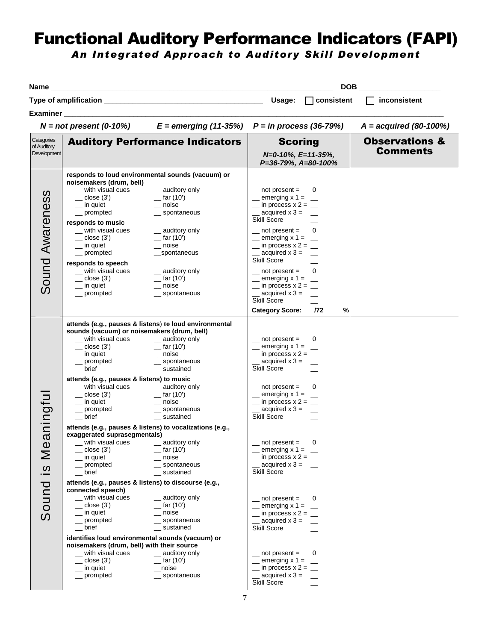## Functional Auditory Performance Indicators (FAPI)

*An Integrated Approach to Auditory Skill Development*

| Name                                                                      |                                                                                                                                                                                                                                                                                                            |                                                                                                                                                                                                                                                | <b>DOB</b>                                                                                                                                                                                                                                                                                                   |                           |
|---------------------------------------------------------------------------|------------------------------------------------------------------------------------------------------------------------------------------------------------------------------------------------------------------------------------------------------------------------------------------------------------|------------------------------------------------------------------------------------------------------------------------------------------------------------------------------------------------------------------------------------------------|--------------------------------------------------------------------------------------------------------------------------------------------------------------------------------------------------------------------------------------------------------------------------------------------------------------|---------------------------|
|                                                                           |                                                                                                                                                                                                                                                                                                            |                                                                                                                                                                                                                                                | Usage:<br>$\Box$ consistent                                                                                                                                                                                                                                                                                  | inconsistent              |
|                                                                           | Examiner and the contract of the contract of the contract of the contract of the contract of the contract of the contract of the contract of the contract of the contract of the contract of the contract of the contract of t                                                                             |                                                                                                                                                                                                                                                |                                                                                                                                                                                                                                                                                                              |                           |
|                                                                           |                                                                                                                                                                                                                                                                                                            | $N = not present (0-10%)$ $E = emerging (11-35%)$ $P = in process (36-79%)$                                                                                                                                                                    |                                                                                                                                                                                                                                                                                                              | $A = acquired (80-100%)$  |
| Categories<br>of Auditory                                                 |                                                                                                                                                                                                                                                                                                            | <b>Auditory Performance Indicators</b>                                                                                                                                                                                                         | <b>Scoring</b>                                                                                                                                                                                                                                                                                               | <b>Observations &amp;</b> |
| Development                                                               |                                                                                                                                                                                                                                                                                                            |                                                                                                                                                                                                                                                | $N=0-10\%$ , $E=11-35\%$ ,<br>P=36-79%, A=80-100%                                                                                                                                                                                                                                                            | <b>Comments</b>           |
| Sound Awareness                                                           | noisemakers (drum, bell)<br>_ with visual cues<br>$\equiv$ close (3')<br>$\equiv$ in quiet<br>__ prompted<br>responds to music<br>_ with visual cues<br>$\equiv$ close (3')<br>$\equiv$ in quiet<br>_prompted<br>responds to speech<br>_ with visual cues                                                  | responds to loud environmental sounds (vacuum) or<br>_ auditory only<br>$=$ far (10')<br>$\equiv$ noise<br>__ spontaneous<br>_ auditory only<br>$=$ far (10')<br>$\equiv$ noise<br>__spontaneous<br>_ auditory only                            | $\equiv$ not present =<br>0<br>$=$ emerging x 1 =<br>$\equiv$ in process x 2 = $\equiv$<br>$\equiv$ acquired x 3 =<br>Skill Score<br>0<br>$\equiv$ not present =<br>$\equiv$ emerging x 1 = $\equiv$<br>$\equiv$ in process x 2 = $\equiv$<br>$\equiv$ acquired x 3 =<br>Skill Score<br>not present $=$<br>0 |                           |
|                                                                           | $\equiv$ close (3')<br>$\equiv$ in quiet<br>_prompted                                                                                                                                                                                                                                                      | $=$ far (10 <sup>'</sup> )<br>$\equiv$ noise<br>__ spontaneous                                                                                                                                                                                 | $\equiv$ emerging x 1 = $\equiv$<br>$\equiv$ in process x 2 = $\equiv$<br>$\equiv$ acquired x 3 =<br>Skill Score<br>%<br>Category Score: /72                                                                                                                                                                 |                           |
| ningful                                                                   | sounds (vacuum) or noisemakers (drum, bell)<br>_ with visual cues<br>$\equiv$ close (3')<br>$\equiv$ in quiet<br>_prompted<br>$\overline{\phantom{a}}$ brief<br>attends (e.g., pauses & listens) to music<br>_ with visual cues<br>$\equiv$ close (3')<br>$\equiv$ in quiet<br>_prompted<br>$\equiv$ brief | attends (e.g., pauses & listens) to loud environmental<br>_ auditory only<br>$-$ far (10')<br>$\equiv$ noise<br>$\equiv$ spontaneous<br>_ sustained<br>_ auditory only<br>$-$ far (10')<br>$\equiv$ noise<br>$\equiv$ spontaneous<br>sustained | $\equiv$ not present =<br>0<br>emerging $x 1 =$<br>$\equiv$ in process x 2 = $\equiv$<br>$\equiv$ acquired x 3 =<br>Skill Score<br>$m$ not present =<br>0<br>$\equiv$ emerging x 1 = $\equiv$<br>$\equiv$ in process x 2 = $\equiv$<br>acquired $x 3 =$<br>Skill Score                                       |                           |
| $\sigma$<br>$\mathbf{\Omega}$<br>$\bar{\geq}$<br>$\underline{\mathbf{c}}$ | exaggerated suprasegmentals)<br>_ with visual cues<br>$\equiv$ close (3')<br>$\equiv$ in quiet<br>_prompted<br>$-$ brief                                                                                                                                                                                   | attends (e.g., pauses & listens) to vocalizations (e.g.,<br>_ auditory only<br>$-$ far (10')<br>$\equiv$ noise<br>_ spontaneous<br>_ sustained                                                                                                 | $-$ not present =<br>$=$ emerging x 1 =<br>$\equiv$ in process x 2 = $\equiv$<br>acquired $x$ 3 =<br><b>Skill Score</b>                                                                                                                                                                                      |                           |
| Sound                                                                     | attends (e.g., pauses & listens) to discourse (e.g.,<br>connected speech)<br>_ with visual cues<br>close $(3')$<br>$\equiv$ in quiet<br>_prompted<br>$\equiv$ brief<br>identifies loud environmental sounds (vacuum) or<br>noisemakers (drum, bell) with their source<br>_ with visual cues                | _ auditory only<br>$=$ far (10')<br>noise<br>__ spontaneous<br>sustained<br>_ auditory only                                                                                                                                                    | $\equiv$ not present =<br>0<br>emerging $x 1 =$ __<br>$\equiv$ in process x 2 = $\equiv$<br>acquired $x$ 3 =<br>Skill Score<br>not present =<br>0                                                                                                                                                            |                           |
|                                                                           | $\equiv$ close (3')<br>$\equiv$ in quiet<br>_prompted                                                                                                                                                                                                                                                      | $-$ far (10')<br>__noise<br>__ spontaneous                                                                                                                                                                                                     | emerging $x 1 =$ __<br>$\equiv$ in process x 2 = $\equiv$<br>acquired $x 3 =$<br>Skill Score                                                                                                                                                                                                                 |                           |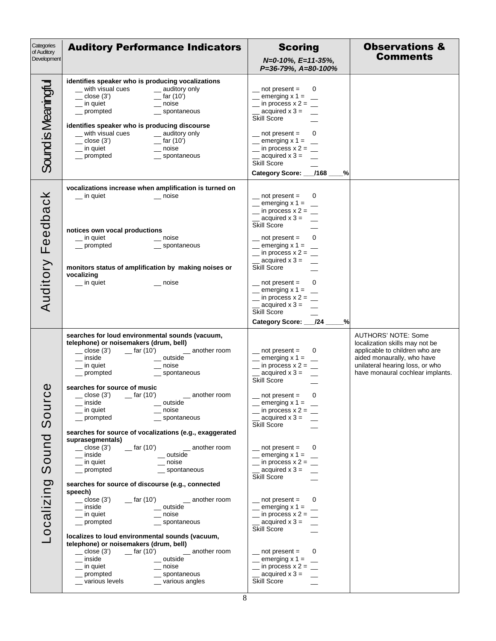| Categories<br>of Auditory<br>Development                                  | <b>Auditory Performance Indicators</b>                                                                                                                                                                                                                                                                                                                                                                                                                                                                                                                                                                                                                                                                                                                                                                                                                                                                                                                          | <b>Scoring</b><br>$N=0-10\%$ , $E=11-35\%$ ,<br>P=36-79%, A=80-100%                                                                                                                                                                                                                                                                                                                                                                                                                                                                                                           | <b>Observations &amp;</b><br><b>Comments</b>                                                                                                                                                        |
|---------------------------------------------------------------------------|-----------------------------------------------------------------------------------------------------------------------------------------------------------------------------------------------------------------------------------------------------------------------------------------------------------------------------------------------------------------------------------------------------------------------------------------------------------------------------------------------------------------------------------------------------------------------------------------------------------------------------------------------------------------------------------------------------------------------------------------------------------------------------------------------------------------------------------------------------------------------------------------------------------------------------------------------------------------|-------------------------------------------------------------------------------------------------------------------------------------------------------------------------------------------------------------------------------------------------------------------------------------------------------------------------------------------------------------------------------------------------------------------------------------------------------------------------------------------------------------------------------------------------------------------------------|-----------------------------------------------------------------------------------------------------------------------------------------------------------------------------------------------------|
| Sound is Meaningful                                                       | identifies speaker who is producing vocalizations<br>_ with visual cues<br>__ auditory only<br>$\equiv$ close (3')<br>$-$ far (10 <sup>'</sup> )<br>$\equiv$ in quiet<br>$\equiv$ noise<br>__ prompted<br>__ spontaneous<br>identifies speaker who is producing discourse<br>$\equiv$ with visual cues $\equiv$ auditory only<br>$\equiv$ close (3')<br>$-$ far (10')<br>$\equiv$ in quiet<br>$\equiv$ noise<br>__ prompted<br>__ spontaneous                                                                                                                                                                                                                                                                                                                                                                                                                                                                                                                   | $\equiv$ not present =<br>0<br>$=$ emerging x 1 = $=$<br>$\equiv$ in process x 2 = $\equiv$<br>acquired $x 3 =$<br>Skill Score<br>$m$ not present =<br>0<br>$\equiv$ emerging x 1 = $\equiv$<br>$\equiv$ in process x 2 = $\equiv$<br>$=$ acquired x 3 =<br>Skill Score<br>Category Score: 168<br>%                                                                                                                                                                                                                                                                           |                                                                                                                                                                                                     |
| Feedback<br>Auditory                                                      | vocalizations increase when amplification is turned on<br>$\equiv$ in quiet<br>__ noise<br>notices own vocal productions<br>$\equiv$ in quiet<br>$\equiv$ noise<br>__ prompted<br>__ spontaneous<br>monitors status of amplification by making noises or<br>vocalizing<br>$\equiv$ in quiet<br>noise                                                                                                                                                                                                                                                                                                                                                                                                                                                                                                                                                                                                                                                            | $\equiv$ not present =<br>0<br>$=$ emerging x 1 = $\quad$<br>$\equiv$ in process x 2 = $\equiv$<br>acquired $x 3 =$<br>Skill Score<br>$-$ not present =<br>0<br>$\equiv$ emerging x 1 = $\equiv$<br>$\equiv$ in process x 2 = $\equiv$<br>$\equiv$ acquired x 3 =<br>Skill Score<br>0<br>$\equiv$ not present =<br>$\equiv$ emerging x 1 = $\equiv$<br>$\equiv$ in process x 2 = $\equiv$<br>acquired $x$ 3 =<br>Skill Score<br>Category Score: 124<br>%                                                                                                                      |                                                                                                                                                                                                     |
| Φ<br>ပ<br>$\overline{\phantom{0}}$<br>$\circ$<br>ၯ<br>Sound<br>Localizing | searches for loud environmental sounds (vacuum,<br>telephone) or noisemakers (drum, bell)<br>$\equiv$ close (3') $\equiv$ far (10')<br>_ another room<br>$\equiv$ inside<br>$\equiv$ outside<br>__ in quiet<br>$\equiv$ noise<br>__ prompted<br>__ spontaneous<br>searches for source of music<br>close (3')<br>$-$ far (10')<br>_ another room<br>$\equiv$ inside<br>outside<br>$\equiv$ in quiet<br>noise<br>_prompted<br>spontaneous<br>searches for source of vocalizations (e.g., exaggerated<br>suprasegmentals)<br>$\equiv$ close (3')<br>$-$ far (10')<br>another room<br>$\equiv$ inside<br>$\equiv$ outside<br>$\equiv$ in quiet<br>$\__$ noise<br>_prompted<br>_ spontaneous<br>searches for source of discourse (e.g., connected<br>speech)<br>$\equiv$ close (3')<br>$-$ far (10')<br>another room<br>$\equiv$ inside<br>outside<br>_ noise<br>$\equiv$ in quiet<br>_prompted<br>__ spontaneous<br>localizes to loud environmental sounds (vacuum, | 0<br>$\equiv$ not present =<br>$\equiv$ emerging x 1 = $\equiv$<br>$\equiv$ in process x 2 = $\equiv$<br>$\equiv$ acquired x 3 =<br>Skill Score<br>0<br>$\equiv$ not present =<br>$\equiv$ emerging x 1 = $\equiv$<br>$\equiv$ in process x 2 = $\equiv$<br>$=$ acquired x 3 =<br><b>Skill Score</b><br>0<br>$-$ not present =<br>$=$ emerging x 1 =<br>$\equiv$ in process x 2 = $\equiv$<br>$=$ acquired x 3 =<br>Skill Score<br>$\Omega$<br>$-$ not present =<br>$\equiv$ emerging x 1 = $\equiv$<br>$\equiv$ in process x 2 = $\equiv$<br>acquired $x 3 =$<br>Skill Score | <b>AUTHORS' NOTE: Some</b><br>localization skills may not be<br>applicable to children who are<br>aided monaurally, who have<br>unilateral hearing loss, or who<br>have monaural cochlear implants. |
|                                                                           | telephone) or noisemakers (drum, bell)<br>$\equiv$ close (3')<br>$-$ far (10')<br>$\equiv$ another room<br>$\equiv$ inside<br>$\equiv$ outside<br>$\equiv$ in quiet<br>$\equiv$ noise<br>_ prompted<br>spontaneous<br>_ various levels<br>__ various angles                                                                                                                                                                                                                                                                                                                                                                                                                                                                                                                                                                                                                                                                                                     | 0<br>$-$ not present =<br>$=$ emerging x 1 =<br>$\equiv$<br>$\equiv$ in process x 2 = $\equiv$<br>$=$ acquired x 3 =<br>Skill Score                                                                                                                                                                                                                                                                                                                                                                                                                                           |                                                                                                                                                                                                     |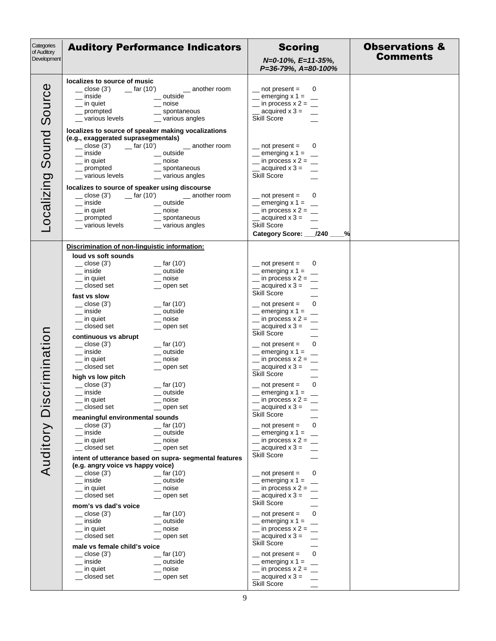| Categories<br>of Auditory<br>Development         | <b>Auditory Performance Indicators</b>                                                                                                                                                                                                                                                                                                                                                                                                                                                                                                                                                                                                                                                                                                                                                                                                                                               | <b>Scoring</b><br>$N=0-10\%$ , $E=11-35\%$ ,<br>P=36-79%, A=80-100%                                                                                                                                                                                                                                                                                                                                                                                                                                                                                                                                                                                                                                      | <b>Observations &amp;</b><br><b>Comments</b> |
|--------------------------------------------------|--------------------------------------------------------------------------------------------------------------------------------------------------------------------------------------------------------------------------------------------------------------------------------------------------------------------------------------------------------------------------------------------------------------------------------------------------------------------------------------------------------------------------------------------------------------------------------------------------------------------------------------------------------------------------------------------------------------------------------------------------------------------------------------------------------------------------------------------------------------------------------------|----------------------------------------------------------------------------------------------------------------------------------------------------------------------------------------------------------------------------------------------------------------------------------------------------------------------------------------------------------------------------------------------------------------------------------------------------------------------------------------------------------------------------------------------------------------------------------------------------------------------------------------------------------------------------------------------------------|----------------------------------------------|
| Source                                           | localizes to source of music<br>$\equiv$ close (3')<br>$-$ far (10')<br>_ another room<br>$\equiv$ inside<br>outside<br>$\equiv$ in quiet<br>noise<br>_prompted<br>spontaneous<br>$\equiv$ various angles<br>__ various levels<br>localizes to source of speaker making vocalizations                                                                                                                                                                                                                                                                                                                                                                                                                                                                                                                                                                                                | $-$ not present =<br>0<br>$\equiv$ emerging x 1 = $\equiv$<br>$\equiv$ in process x 2 = $\equiv$<br>acquired $x 3 =$<br><b>Skill Score</b>                                                                                                                                                                                                                                                                                                                                                                                                                                                                                                                                                               |                                              |
| Sound                                            | (e.g., exaggerated suprasegmentals)<br>close(3')<br>$-$ far (10')<br>_ another room<br>inside<br>_ outside<br>noise<br>$\equiv$ in quiet<br>_ spontaneous<br>__ prompted<br>_ various levels<br>_ various angles<br>localizes to source of speaker using discourse                                                                                                                                                                                                                                                                                                                                                                                                                                                                                                                                                                                                                   | $-$ not present =<br>0<br>$\equiv$ emerging x 1 =<br>$\equiv$ in process x 2 = $\equiv$<br>$\equiv$ acquired x 3 =<br><b>Skill Score</b>                                                                                                                                                                                                                                                                                                                                                                                                                                                                                                                                                                 |                                              |
| Localizing                                       | $\equiv$ close (3')<br>$-$ far (10')<br>__ another room<br>$\equiv$ inside<br>outside<br>$\equiv$ in quiet<br>noise<br>_ spontaneous<br>__ prompted<br>$\equiv$ various angles<br>_ various levels                                                                                                                                                                                                                                                                                                                                                                                                                                                                                                                                                                                                                                                                                   | 0<br>$\equiv$ not present =<br>$\equiv$ emerging x 1 = $\equiv$<br>$\equiv$ in process x 2 = $\equiv$<br>$\equiv$ acquired x 3 =<br>Skill Score<br>Category Score: /240<br>%                                                                                                                                                                                                                                                                                                                                                                                                                                                                                                                             |                                              |
| crimination<br>$\overline{\omega}$ .<br>Auditory | Discrimination of non-linguistic information:<br>loud vs soft sounds<br>$\equiv$ close (3')<br>_ far (10')<br>outside<br>$\overline{\phantom{a}}$ inside<br>noise<br>$\equiv$ in quiet<br>__ closed set<br>open set<br>fast vs slow<br>$\equiv$ close (3')<br>$-$ far (10')<br>$\equiv$ inside<br>$\_\_$ outside<br>_ in quiet<br>noise<br>$\_$ closed set<br>__ open set<br>continuous vs abrupt<br>close(3')<br>$-$ far (10')<br>inside<br>outside<br>$\equiv$ noise<br>$\equiv$ in quiet<br>$\_$ closed set<br>open set<br>high vs low pitch<br>$\equiv$ close (3')<br>far $(10)$<br>inside<br>outside<br>noise<br>in quiet<br>_ closed set<br>__ open set<br>meaningful environmental sounds<br>$\equiv$ close (3')<br>$-$ far (10')<br>inside<br>_ outside<br>$\equiv$ noise<br>in quiet<br>closed set<br>__ open set<br>intent of utterance based on supra- segmental features | 0<br>not present $=$<br>$\equiv$ emerging x 1 = $\equiv$<br>$\equiv$ in process x 2 = $\equiv$<br>$\equiv$ acquired x 3 =<br><b>Skill Score</b><br>0<br>$\equiv$ not present =<br>$\equiv$ emerging x 1 = $\equiv$<br>$\equiv$ in process x 2 = $\equiv$<br>acquired $x$ 3 =<br>Skill Score<br>$\_$ not present $=$<br>0<br>emerging $x 1 =$<br>$\equiv$ in process x 2 = $\equiv$<br>$=$ acquired x 3 =<br><b>Skill Score</b><br>0<br>$\equiv$ not present =<br>$\equiv$ emerging x 1 = $\equiv$<br>$\equiv$ in process x 2 =<br>$=$ acquired x 3 =<br><b>Skill Score</b><br>0<br>$\equiv$ not present =<br>emerging $x 1 =$ _<br>$\equiv$ in process x 2 = $\equiv$<br>acquired $x$ 3 =<br>Skill Score |                                              |
|                                                  | (e.g. angry voice vs happy voice)<br>$\equiv$ close (3')<br>$-$ far (10')<br>inside<br>outside<br>in quiet<br>noise<br>$\_$ closed set<br>__ open set<br>mom's vs dad's voice<br>_ close (3')<br>$-$ far (10')<br>inside<br>outside<br>$\equiv$ in quiet<br>$\equiv$ noise<br>$\_$ closed set<br>open set<br>male vs female child's voice<br>close $(3')$<br>$-$ far (10')<br>inside<br>outside<br>in quiet<br>noise<br>closed set<br>open set                                                                                                                                                                                                                                                                                                                                                                                                                                       | 0<br>$\equiv$ not present =<br>emerging $x 1 =$ __<br>$\_$ in process x 2 = $\_$<br>acquired $x$ 3 =<br>Skill Score<br>0<br>$\equiv$ not present =<br>emerging $x 1 =$<br>$\equiv$ in process x 2 = $\equiv$<br>$\equiv$ acquired x 3 =<br>Skill Score<br>0<br>$\equiv$ not present =<br>emerging $x 1 =$<br>$\equiv$ in process x 2 = $\equiv$<br>acquired $x 3 =$<br>Skill Score                                                                                                                                                                                                                                                                                                                       |                                              |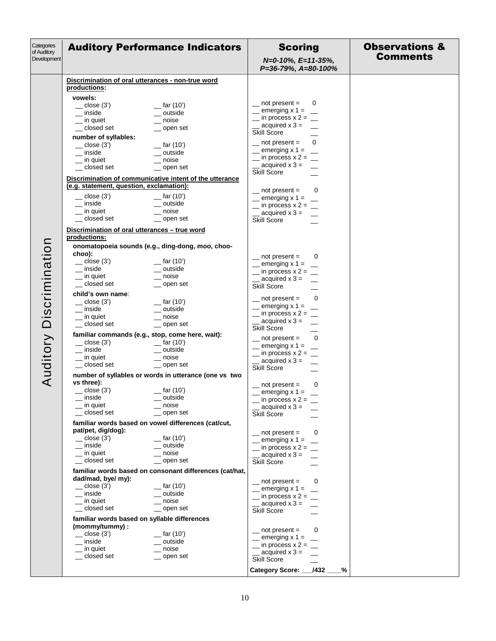| Categories<br>of Auditory<br>Development | <b>Auditory Performance Indicators</b>                                                                                                                                                                                                                                                                                                                                                                                                                                                                                                                                                                                                                                                                                                                                                                                                                                                                                                                                                                                                                                                                                                                                                                                                                                                                                                                                                                                                                                                                                                                                                                                                                                                                                                                                                                                                                                                                                                                                                              | <b>Scoring</b><br>$N=0-10\%$ , $E=11-35\%$ ,<br>P=36-79%, A=80-100%                                                                                                                                                                                                                                                                                                                                                                                                                                                                                                                                                                                                                                                                                                                                                                                                                                                                                                                                                                                                                                                                                                                                                                                                                                                                                               | <b>Observations &amp;</b><br><b>Comments</b> |
|------------------------------------------|-----------------------------------------------------------------------------------------------------------------------------------------------------------------------------------------------------------------------------------------------------------------------------------------------------------------------------------------------------------------------------------------------------------------------------------------------------------------------------------------------------------------------------------------------------------------------------------------------------------------------------------------------------------------------------------------------------------------------------------------------------------------------------------------------------------------------------------------------------------------------------------------------------------------------------------------------------------------------------------------------------------------------------------------------------------------------------------------------------------------------------------------------------------------------------------------------------------------------------------------------------------------------------------------------------------------------------------------------------------------------------------------------------------------------------------------------------------------------------------------------------------------------------------------------------------------------------------------------------------------------------------------------------------------------------------------------------------------------------------------------------------------------------------------------------------------------------------------------------------------------------------------------------------------------------------------------------------------------------------------------------|-------------------------------------------------------------------------------------------------------------------------------------------------------------------------------------------------------------------------------------------------------------------------------------------------------------------------------------------------------------------------------------------------------------------------------------------------------------------------------------------------------------------------------------------------------------------------------------------------------------------------------------------------------------------------------------------------------------------------------------------------------------------------------------------------------------------------------------------------------------------------------------------------------------------------------------------------------------------------------------------------------------------------------------------------------------------------------------------------------------------------------------------------------------------------------------------------------------------------------------------------------------------------------------------------------------------------------------------------------------------|----------------------------------------------|
| <b>Auditory Discrimination</b>           | Discrimination of oral utterances - non-true word<br>productions:<br>vowels:<br>$\equiv$ close (3')<br>$-$ far (10')<br>$\equiv$ inside<br>$\equiv$ outside<br>$\equiv$ in quiet<br>$\equiv$ noise<br>__ closed set<br>__ open set<br>number of syllables:<br>$\equiv$ close (3')<br>$-$ far (10')<br>$\equiv$ inside<br>outside<br>$\equiv$ in quiet<br>$\equiv$ noise<br>_ closed set<br>__ open set<br>Discrimination of communicative intent of the utterance<br>(e.g. statement, question, exclamation):<br>$\equiv$ close (3')<br>far (10')<br>$\equiv$ inside<br>__ outside<br>$\equiv$ in quiet<br>$\equiv$ noise<br>__ closed set<br>__ open set<br>Discrimination of oral utterances - true word<br>productions:<br>onomatopoeia sounds (e.g., ding-dong, moo, choo-<br>choo):<br>$\equiv$ close (3')<br>$-$ far (10')<br>$\equiv$ inside<br>__ outside<br>$\equiv$ noise<br>$\equiv$ in quiet<br>_ closed set<br>__ open set<br>child's own name:<br>$\equiv$ close (3')<br>$-$ far (10')<br>$\equiv$ inside<br>$\_\_$ outside<br>$\equiv$ in quiet<br>$\equiv$ noise<br>_ closed set<br>__ open set<br>familiar commands (e.g., stop, come here, wait):<br>$\equiv$ close (3')<br>$=$ far (10')<br>$\equiv$ inside<br>$\_\_$ outside<br>$\equiv$ in quiet<br>__ noise<br>closed set<br>__ open set<br>number of syllables or words in utterance (one vs two<br>vs three):<br>$\equiv$ close (3')<br>__ far (10')<br>inside<br>outside<br>$\equiv$ in quiet<br>$\equiv$ noise<br>_closed set<br>_ open set<br>familiar words based on vowel differences (cat/cut,<br>pat/pet, dig/dog):<br>$\equiv$ close (3')<br>$-$ far (10')<br>$\equiv$ inside<br>_ outside<br>$\equiv$ in quiet<br>$\equiv$ noise<br>_ closed set<br>__ open set<br>familiar words based on consonant differences (cat/hat,<br>dad/mad, bye/ my):<br>$\equiv$ close (3')<br>$-$ far (10')<br>$\overline{\phantom{a}}$ inside<br>_ outside<br><sub>_</sub> in quiet<br>$\equiv$ noise<br>_ closed set<br>__ open set | $\equiv$ not present =<br>0<br>$=$ emerging x 1 = $=$<br>$\equiv$ in process x 2 = $\equiv$<br>$\equiv$ acquired x 3 =<br>Skill Score<br>0<br>$\equiv$ not present =<br>$\equiv$ emerging x 1 = $\equiv$<br>$\equiv$ in process x 2 = $\equiv$<br>acquired $x 3 =$<br>Skill Score<br>$\equiv$ not present =<br>0<br>$=$ emerging x 1 = $=$<br>$\equiv$ in process x 2 = $\equiv$<br>$\equiv$ acquired x 3 =<br>Skill Score<br>$\overline{\phantom{a}}$ not present =<br>0<br>$\equiv$ emerging x 1 = $\equiv$<br>$\equiv$ in process x 2 = $\equiv$<br>$\equiv$ acquired x 3 =<br>Skill Score<br>$\Omega$<br>$\equiv$ not present =<br>$\equiv$ emerging x 1 = $\equiv$<br>$\equiv$ in process x 2 = $\equiv$<br>$\equiv$ acquired x 3 =<br><b>Skill Score</b><br>$\Omega$<br>$\equiv$ not present =<br>$\equiv$ emerging x 1 = $\equiv$<br>$\equiv$ in process x 2 = $\equiv$<br>$\equiv$ acquired x 3 =<br><b>Skill Score</b><br>$\equiv$ not present =<br>0<br>$=$ emerging x 1 =<br>$\_$ in process x 2 = $\_$<br>$\equiv$ acquired x 3 =<br><b>Skill Score</b><br>$\equiv$ not present =<br>0<br>$=$ emerging x 1 = $=$<br>$\equiv$ in process x 2 = $\equiv$<br>acquired $x$ 3 = $\qquad$<br><b>Skill Score</b><br>$\equiv$ not present =<br>0<br>$\equiv$ emerging x 1 = $\equiv$<br>$\equiv$ in process x 2 = $\equiv$<br>acquired $x$ 3 =<br>Skill Score |                                              |
|                                          | familiar words based on syllable differences<br>(mommy/tummy):<br>$\equiv$ close (3')<br>$-$ far (10')<br>$\equiv$ inside<br>$\_\_$ outside<br>$\equiv$ noise<br>$\equiv$ in quiet<br>_ closed set<br>__ open set                                                                                                                                                                                                                                                                                                                                                                                                                                                                                                                                                                                                                                                                                                                                                                                                                                                                                                                                                                                                                                                                                                                                                                                                                                                                                                                                                                                                                                                                                                                                                                                                                                                                                                                                                                                   | 0<br>$\equiv$ not present =<br>$\equiv$ emerging x 1 = $\equiv$<br>$\equiv$ in process x 2 = $\equiv$<br>acquired $x 3 =$<br>Skill Score<br>Category Score: 1432<br>%                                                                                                                                                                                                                                                                                                                                                                                                                                                                                                                                                                                                                                                                                                                                                                                                                                                                                                                                                                                                                                                                                                                                                                                             |                                              |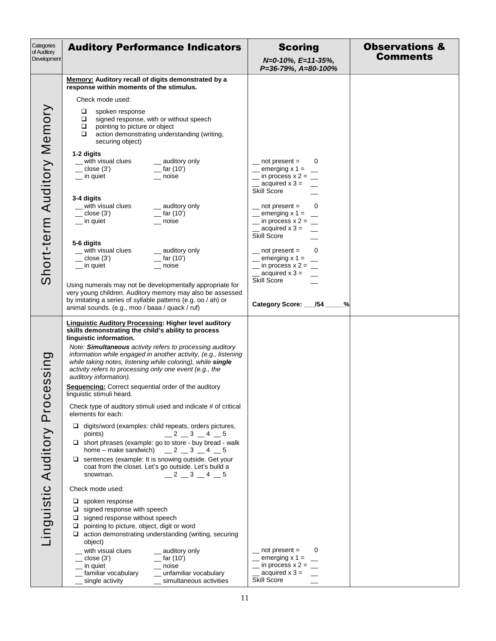| Categories<br>of Auditory<br>Development                 | <b>Auditory Performance Indicators</b>                                                                                                                                                                                                                                                                                                                                                                                                                                                                                                                                                                                                                                                                                                                                                                                                                                                                                                                                                                                                                                                                                                                                                                                                                                                                                                                                                                                                                                                                                                                   | <b>Scoring</b><br>$N=0-10\%$ , $E=11-35\%$ ,<br>P=36-79%, A=80-100%                                                                                                                                                                                                                                                                                                                                                                         | <b>Observations &amp;</b><br><b>Comments</b> |
|----------------------------------------------------------|----------------------------------------------------------------------------------------------------------------------------------------------------------------------------------------------------------------------------------------------------------------------------------------------------------------------------------------------------------------------------------------------------------------------------------------------------------------------------------------------------------------------------------------------------------------------------------------------------------------------------------------------------------------------------------------------------------------------------------------------------------------------------------------------------------------------------------------------------------------------------------------------------------------------------------------------------------------------------------------------------------------------------------------------------------------------------------------------------------------------------------------------------------------------------------------------------------------------------------------------------------------------------------------------------------------------------------------------------------------------------------------------------------------------------------------------------------------------------------------------------------------------------------------------------------|---------------------------------------------------------------------------------------------------------------------------------------------------------------------------------------------------------------------------------------------------------------------------------------------------------------------------------------------------------------------------------------------------------------------------------------------|----------------------------------------------|
|                                                          | Memory: Auditory recall of digits demonstrated by a<br>response within moments of the stimulus.                                                                                                                                                                                                                                                                                                                                                                                                                                                                                                                                                                                                                                                                                                                                                                                                                                                                                                                                                                                                                                                                                                                                                                                                                                                                                                                                                                                                                                                          |                                                                                                                                                                                                                                                                                                                                                                                                                                             |                                              |
| Short-term Auditory Memory                               | Check mode used:<br>spoken response<br>❏<br>signed response, with or without speech<br>❏<br>$\Box$ pointing to picture or object<br>action demonstrating understanding (writing,<br>□<br>securing object)<br>1-2 digits<br>_ with visual clues<br>_ auditory only<br>$\equiv$ close (3')<br>$=$ far (10')<br>__ in quiet<br>__ noise<br>3-4 digits<br>_ auditory only<br>_ with visual clues<br>$\equiv$ close (3')<br>$=$ far (10')<br>$\equiv$ in quiet<br>$\equiv$ noise<br>5-6 digits<br>_ auditory only<br>_ with visual clues<br>$\equiv$ close (3')<br>$-$ far (10')<br><sub>__</sub> in quiet<br>$\equiv$ noise<br>Using numerals may not be developmentally appropriate for<br>very young children. Auditory memory may also be assessed<br>by imitating a series of syllable patterns (e.g. oo / ah) or                                                                                                                                                                                                                                                                                                                                                                                                                                                                                                                                                                                                                                                                                                                                        | $-$ not present =<br>0<br>$=$ emerging x 1 = $\quad$<br>$\equiv$ in process x 2 = $\equiv$<br>$\equiv$ acquired x 3 =<br>Skill Score<br>0<br>$m$ not present =<br>$=$ emerging x 1 = $=$<br>$\equiv$ in process x 2 = $\equiv$<br>acquired $x 3 =$<br>Skill Score<br>0<br>$-$ not present =<br>$=$ emerging x 1 = $=$<br>$\equiv$ in process x 2 = $\equiv$<br>$\equiv$ acquired x 3 = $\equiv$<br>Skill Score<br>Category Score: 154 ____% |                                              |
| essing<br>$\ddot{\mathbf{C}}$<br>Linguistic Auditory Pro | animal sounds. (e.g., moo / baaa / quack / ruf)<br><b>Linguistic Auditory Processing: Higher level auditory</b><br>skills demonstrating the child's ability to process<br>linguistic information.<br>Note: Simultaneous activity refers to processing auditory<br>information while engaged in another activity, (e.g., listening<br>while taking notes, listening while coloring), while single<br>activity refers to processing only one event (e.g., the<br>auditory information).<br><b>Sequencing:</b> Correct sequential order of the auditory<br>linguistic stimuli heard.<br>Check type of auditory stimuli used and indicate # of critical<br>elements for each:<br>$\Box$ digits/word (examples: child repeats, orders pictures,<br>$-2 - 3 - 4 - 5$<br>points)<br>$\Box$ short phrases (example: go to store - buy bread - walk<br>home – make sandwich) $\qquad 2 \qquad 3 \qquad 4 \qquad 5$<br>□ sentences (example: It is snowing outside. Get your<br>coat from the closet. Let's go outside. Let's build a<br>$-2$ $-3$ $-4$ $-5$<br>snowman.<br>Check mode used:<br>$\Box$ spoken response<br>$\Box$ signed response with speech<br>$\Box$ signed response without speech<br>$\Box$ pointing to picture, object, digit or word<br>$\Box$ action demonstrating understanding (writing, securing<br>object)<br>with visual clues<br>_ auditory only<br>$\equiv$ close (3')<br>$=$ far (10 <sup>'</sup> )<br>$\equiv$ noise<br>in quiet<br>familiar vocabulary<br>unfamiliar vocabulary<br>_ single activity<br>_ simultaneous activities | $not present =$<br>0<br>emerging $x 1 =$<br>acquired $x$ 3 =<br>Skill Score                                                                                                                                                                                                                                                                                                                                                                 |                                              |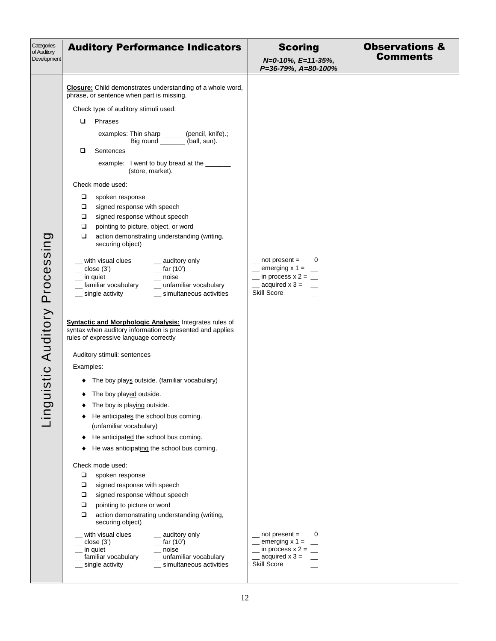| Categories<br>of Auditory<br>Development | <b>Auditory Performance Indicators</b>                                                                                                                                                                                                                                                                                                                                                                                                                                                                                                                                                                                                                                                                                                                                                                                                                                                                                                                                                                                                                                                                                                                                                                                                                                                                                                                                                                                                                                                                                                                                                                                                                                                                                                                              | <b>Scoring</b><br>$N=0-10\%$ , $E=11-35\%$ ,<br>P=36-79%, A=80-100%                                                                                                                                               | <b>Observations &amp;</b><br><b>Comments</b> |
|------------------------------------------|---------------------------------------------------------------------------------------------------------------------------------------------------------------------------------------------------------------------------------------------------------------------------------------------------------------------------------------------------------------------------------------------------------------------------------------------------------------------------------------------------------------------------------------------------------------------------------------------------------------------------------------------------------------------------------------------------------------------------------------------------------------------------------------------------------------------------------------------------------------------------------------------------------------------------------------------------------------------------------------------------------------------------------------------------------------------------------------------------------------------------------------------------------------------------------------------------------------------------------------------------------------------------------------------------------------------------------------------------------------------------------------------------------------------------------------------------------------------------------------------------------------------------------------------------------------------------------------------------------------------------------------------------------------------------------------------------------------------------------------------------------------------|-------------------------------------------------------------------------------------------------------------------------------------------------------------------------------------------------------------------|----------------------------------------------|
| uistic Auditory Processing<br>DO         | <b>Closure:</b> Child demonstrates understanding of a whole word,<br>phrase, or sentence when part is missing.<br>Check type of auditory stimuli used:<br>Phrases<br>o.<br>examples: Thin sharp ______ (pencil, knife).;<br>Big round ________ (ball, sun).<br>Sentences<br>□<br>example: I went to buy bread at the _______<br>(store, market).<br>Check mode used:<br>❏<br>spoken response<br>signed response with speech<br>❏<br>signed response without speech<br>❏<br>pointing to picture, object, or word<br>□<br>action demonstrating understanding (writing,<br>❏<br>securing object)<br>_ with visual clues<br>_ auditory only<br>$\equiv$ close (3')<br>$-$ far (10')<br>$\overline{\phantom{a}}$ noise<br>$\equiv$ in quiet<br>_ familiar vocabulary<br>_ unfamiliar vocabulary<br>_ single activity<br>_ simultaneous activities<br><b>Syntactic and Morphologic Analysis: Integrates rules of</b><br>syntax when auditory information is presented and applies<br>rules of expressive language correctly<br>Auditory stimuli: sentences<br>Examples:<br>The boy plays outside. (familiar vocabulary)<br>• The boy played outside.<br>The boy is playing outside.<br>He anticipates the school bus coming.<br>(unfamiliar vocabulary)<br>He anticipated the school bus coming.<br>He was anticipating the school bus coming.<br>Check mode used:<br>spoken response<br>❏<br>signed response with speech<br>❏<br>signed response without speech<br>❏<br>pointing to picture or word<br>❏<br>action demonstrating understanding (writing,<br>❏<br>securing object)<br>with visual clues<br>auditory only<br>close $(3')$<br>tan(10')<br>in quiet<br>noise<br>familiar vocabulary<br>unfamiliar vocabulary<br>_ single activity<br>simultaneous activities | $m$ not present =<br>0<br>$=$ emerging x 1 = $=$<br>$\equiv$ in process x 2 = $\equiv$<br>$=$ acquired x 3 =<br><b>Skill Score</b><br>0<br>$not present =$<br>emerging $x 1 =$<br>acquired $x$ 3 =<br>Skill Score |                                              |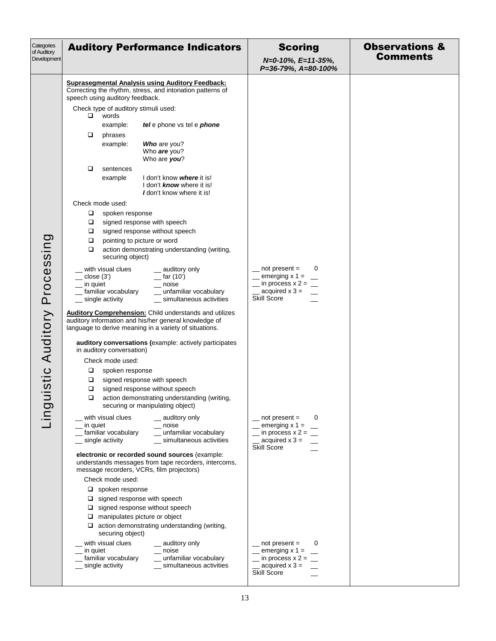| Categories<br>of Auditory<br>Development | <b>Auditory Performance Indicators</b>                                                                                                                                                                                                                                                                                                                                                                                                                                                                                                                                                                                                                                                                                                                                                                                                                                                                                                                                                                                                                                                                                                                                                                                                                 | <b>Scoring</b><br>$N=0-10\%$ , $E=11-35\%$ ,<br>P=36-79%, A=80-100%                                                                                                                                                                                  | <b>Observations &amp;</b><br><b>Comments</b> |
|------------------------------------------|--------------------------------------------------------------------------------------------------------------------------------------------------------------------------------------------------------------------------------------------------------------------------------------------------------------------------------------------------------------------------------------------------------------------------------------------------------------------------------------------------------------------------------------------------------------------------------------------------------------------------------------------------------------------------------------------------------------------------------------------------------------------------------------------------------------------------------------------------------------------------------------------------------------------------------------------------------------------------------------------------------------------------------------------------------------------------------------------------------------------------------------------------------------------------------------------------------------------------------------------------------|------------------------------------------------------------------------------------------------------------------------------------------------------------------------------------------------------------------------------------------------------|----------------------------------------------|
|                                          | <b>Suprasegmental Analysis using Auditory Feedback:</b><br>Correcting the rhythm, stress, and intonation patterns of<br>speech using auditory feedback.<br>Check type of auditory stimuli used:<br>$\Box$<br>words<br>example:<br>tel e phone vs tel e phone<br>□<br>phrases<br>Who are you?<br>example:<br>Who are you?<br>Who are you?<br>□<br>sentences<br>I don't know <b>where</b> it is!<br>example<br>I don't <b>know</b> where it is!<br>I don't know where it is!<br>Check mode used:<br>□<br>spoken response<br>□<br>signed response with speech<br>□<br>signed response without speech<br>□<br>pointing to picture or word<br>❏<br>action demonstrating understanding (writing,<br>securing object)<br>with visual clues<br>auditory only<br>close $(3')$<br>$=$ far (10 <sup>'</sup> )<br>in quiet<br>$\equiv$ noise<br>_ familiar vocabulary<br>_ unfamiliar vocabulary<br>_ single activity<br>_ simultaneous activities                                                                                                                                                                                                                                                                                                                 | $not present =$<br>0<br>emerging $x 1 =$<br>$\equiv$ in process x 2 = $\equiv$<br>acquired $x$ 3 =<br>Skill Score                                                                                                                                    |                                              |
| uistic Auditory Processing<br>po         | <b>Auditory Comprehension:</b> Child understands and utilizes<br>auditory information and his/her general knowledge of<br>language to derive meaning in a variety of situations.<br>auditory conversations (example: actively participates<br>in auditory conversation)<br>Check mode used:<br>□<br>spoken response<br>❏<br>signed response with speech<br>□<br>signed response without speech<br>❏<br>action demonstrating understanding (writing,<br>securing or manipulating object)<br>with visual clues<br>_ auditory only<br>_ in quiet<br>$\equiv$ noise<br>_ familiar vocabulary<br>_ unfamiliar vocabulary<br>_ single activity<br>_ simultaneous activities<br>electronic or recorded sound sources (example:<br>understands messages from tape recorders, intercoms,<br>message recorders, VCRs, film projectors)<br>Check mode used:<br>$\Box$ spoken response<br>$\Box$ signed response with speech<br>$\Box$ signed response without speech<br>$\Box$ manipulates picture or object<br>$\Box$ action demonstrating understanding (writing,<br>securing object)<br>with visual clues<br>_ auditory only<br>in quiet<br>$\equiv$ noise<br>familiar vocabulary<br>_ unfamiliar vocabulary<br>_ single activity<br>_ simultaneous activities | 0<br>$\equiv$ not present =<br>emerging $x 1 =$<br>$\equiv$ in process x 2 = $\equiv$<br>acquired $x 3 =$<br>Skill Score<br>0<br>$\equiv$ not present =<br>emerging $x 1 =$<br>$\equiv$ in process x 2 = $\equiv$<br>acquired $x$ 3 =<br>Skill Score |                                              |